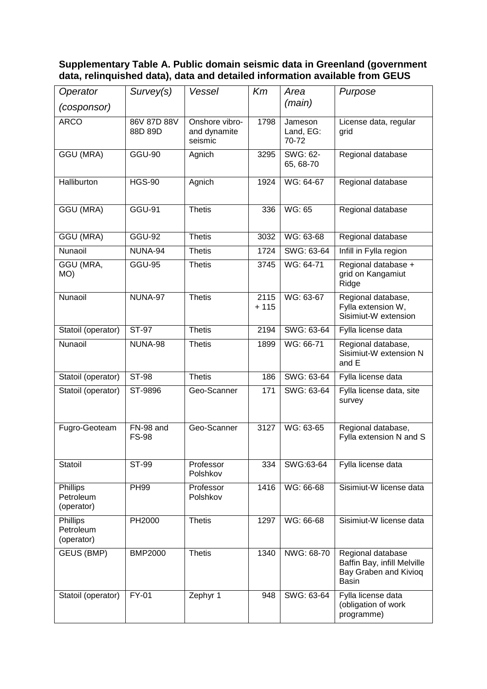## **Supplementary Table A. Public domain seismic data in Greenland (government data, relinquished data), data and detailed information available from GEUS**

| Operator                            | Survey(s)                 | Vessel                                    | Km             | Area                          | Purpose                                                                            |
|-------------------------------------|---------------------------|-------------------------------------------|----------------|-------------------------------|------------------------------------------------------------------------------------|
| (cosponsor)                         |                           |                                           |                | (main)                        |                                                                                    |
| <b>ARCO</b>                         | 86V 87D 88V<br>88D 89D    | Onshore vibro-<br>and dynamite<br>seismic | 1798           | Jameson<br>Land, EG:<br>70-72 | License data, regular<br>grid                                                      |
| <b>GGU (MRA)</b>                    | <b>GGU-90</b>             | Agnich                                    | 3295           | <b>SWG: 62-</b><br>65, 68-70  | Regional database                                                                  |
| Halliburton                         | <b>HGS-90</b>             | Agnich                                    | 1924           | WG: 64-67                     | Regional database                                                                  |
| <b>GGU (MRA)</b>                    | <b>GGU-91</b>             | <b>Thetis</b>                             | 336            | WG: 65                        | Regional database                                                                  |
| <b>GGU (MRA)</b>                    | <b>GGU-92</b>             | <b>Thetis</b>                             | 3032           | WG: 63-68                     | Regional database                                                                  |
| Nunaoil                             | NUNA-94                   | <b>Thetis</b>                             | 1724           | SWG: 63-64                    | Infill in Fylla region                                                             |
| GGU (MRA,<br>MO)                    | <b>GGU-95</b>             | <b>Thetis</b>                             | 3745           | WG: 64-71                     | Regional database +<br>grid on Kangamiut<br>Ridge                                  |
| Nunaoil                             | NUNA-97                   | <b>Thetis</b>                             | 2115<br>$+115$ | WG: 63-67                     | Regional database,<br>Fylla extension W,<br>Sisimiut-W extension                   |
| Statoil (operator)                  | <b>ST-97</b>              | <b>Thetis</b>                             | 2194           | SWG: 63-64                    | Fylla license data                                                                 |
| Nunaoil                             | NUNA-98                   | <b>Thetis</b>                             | 1899           | WG: 66-71                     | Regional database,<br>Sisimiut-W extension N<br>and E                              |
| Statoil (operator)                  | <b>ST-98</b>              | <b>Thetis</b>                             | 186            | SWG: 63-64                    | Fylla license data                                                                 |
| Statoil (operator)                  | ST-9896                   | Geo-Scanner                               | 171            | SWG: 63-64                    | Fylla license data, site<br>survey                                                 |
| Fugro-Geoteam                       | FN-98 and<br><b>FS-98</b> | Geo-Scanner                               | 3127           | WG: 63-65                     | Regional database,<br>Fylla extension N and S                                      |
| Statoil                             | ST-99                     | Professor<br>Polshkov                     | 334            | SWG:63-64                     | Fylla license data                                                                 |
| Phillips<br>Petroleum<br>(operator) | <b>PH99</b>               | Professor<br>Polshkov                     | 1416           | WG: 66-68                     | Sisimiut-W license data                                                            |
| Phillips<br>Petroleum<br>(operator) | PH2000                    | <b>Thetis</b>                             | 1297           | WG: 66-68                     | Sisimiut-W license data                                                            |
| GEUS (BMP)                          | <b>BMP2000</b>            | <b>Thetis</b>                             | 1340           | NWG: 68-70                    | Regional database<br>Baffin Bay, infill Melville<br>Bay Graben and Kivioq<br>Basin |
| Statoil (operator)                  | FY-01                     | Zephyr 1                                  | 948            | SWG: 63-64                    | Fylla license data<br>(obligation of work<br>programme)                            |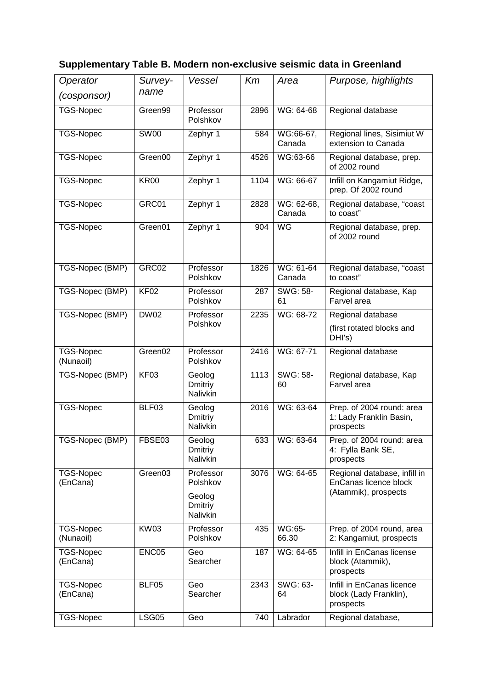## **Supplementary Table B. Modern non-exclusive seismic data in Greenland**

| Operator                      | Survey-<br>name     | Vessel                               | Km   | Area                                    | Purpose, highlights                                               |
|-------------------------------|---------------------|--------------------------------------|------|-----------------------------------------|-------------------------------------------------------------------|
| (cosponsor)                   |                     |                                      |      |                                         |                                                                   |
| <b>TGS-Nopec</b>              | Green <sub>99</sub> | Professor<br>Polshkov                | 2896 | WG: 64-68                               | Regional database                                                 |
| <b>TGS-Nopec</b>              | <b>SW00</b>         | Zephyr 1                             | 584  | $\overline{\text{WG}}:66-67,$<br>Canada | Regional lines, Sisimiut W<br>extension to Canada                 |
| <b>TGS-Nopec</b>              | Green00             | Zephyr 1                             | 4526 | WG:63-66                                | Regional database, prep.<br>of 2002 round                         |
| <b>TGS-Nopec</b>              | <b>KR00</b>         | Zephyr 1                             | 1104 | WG: 66-67                               | Infill on Kangamiut Ridge,<br>prep. Of 2002 round                 |
| <b>TGS-Nopec</b>              | GRC01               | Zephyr 1                             | 2828 | WG: 62-68,<br>Canada                    | Regional database, "coast<br>to coast"                            |
| <b>TGS-Nopec</b>              | Green01             | Zephyr 1                             | 904  | WG                                      | Regional database, prep.<br>of 2002 round                         |
| TGS-Nopec (BMP)               | GRC02               | Professor<br>Polshkov                | 1826 | WG: 61-64<br>Canada                     | Regional database, "coast<br>to coast"                            |
| TGS-Nopec (BMP)               | <b>KF02</b>         | Professor<br>Polshkov                | 287  | SWG: 58-<br>61                          | Regional database, Kap<br>Farvel area                             |
| TGS-Nopec (BMP)               | <b>DW02</b>         | Professor                            | 2235 | WG: 68-72                               | Regional database                                                 |
|                               |                     | Polshkov                             |      |                                         | (first rotated blocks and<br>DHI's)                               |
| <b>TGS-Nopec</b><br>(Nunaoil) | Green02             | Professor<br>Polshkov                | 2416 | WG: 67-71                               | Regional database                                                 |
| TGS-Nopec (BMP)               | KF03                | Geolog<br>Dmitriy<br><b>Nalivkin</b> | 1113 | SWG: 58-<br>60                          | Regional database, Kap<br>Farvel area                             |
| TGS-Nopec                     | BLF03               | Geolog<br>Dmitriy<br>Nalivkin        | 2016 | WG: 63-64                               | Prep. of 2004 round: area<br>1: Lady Franklin Basin,<br>prospects |
| TGS-Nopec (BMP)               | FBSE03              | Geolog<br>Dmitriy<br>Nalivkin        | 633  | WG: 63-64                               | Prep. of 2004 round: area<br>4: Fylla Bank SE,<br>prospects       |
| TGS-Nopec<br>(EnCana)         | Green03             | Professor<br>Polshkov                | 3076 | WG: 64-65                               | Regional database, infill in<br>EnCanas licence block             |
|                               |                     | Geolog<br>Dmitriy<br>Nalivkin        |      |                                         | (Atammik), prospects                                              |
| <b>TGS-Nopec</b><br>(Nunaoil) | <b>KW03</b>         | Professor<br>Polshkov                | 435  | WG:65-<br>66.30                         | Prep. of 2004 round, area<br>2: Kangamiut, prospects              |
| <b>TGS-Nopec</b><br>(EnCana)  | ENC05               | Geo<br>Searcher                      | 187  | WG: 64-65                               | Infill in EnCanas license<br>block (Atammik),<br>prospects        |
| <b>TGS-Nopec</b><br>(EnCana)  | BLF05               | Geo<br>Searcher                      | 2343 | SWG: 63-<br>64                          | Infill in EnCanas licence<br>block (Lady Franklin),<br>prospects  |
| <b>TGS-Nopec</b>              | LSG05               | Geo                                  | 740  | Labrador                                | Regional database,                                                |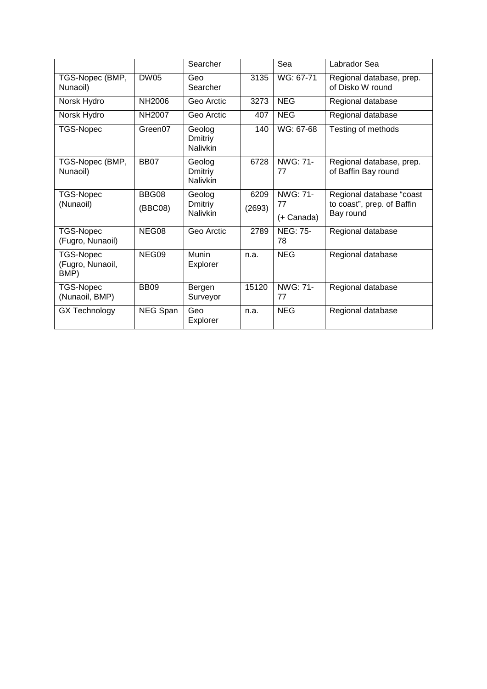|                                              |               | Searcher                             |        | Sea                   | Labrador Sea                                    |
|----------------------------------------------|---------------|--------------------------------------|--------|-----------------------|-------------------------------------------------|
| TGS-Nopec (BMP,<br>Nunaoil)                  | <b>DW05</b>   | Geo<br>Searcher                      | 3135   | WG: 67-71             | Regional database, prep.<br>of Disko W round    |
| Norsk Hydro                                  | <b>NH2006</b> | Geo Arctic                           | 3273   | <b>NEG</b>            | Regional database                               |
| Norsk Hydro                                  | NH2007        | Geo Arctic                           | 407    | <b>NEG</b>            | Regional database                               |
| <b>TGS-Nopec</b>                             | Green07       | Geolog<br>Dmitriy<br><b>Nalivkin</b> | 140    | WG: 67-68             | Testing of methods                              |
| TGS-Nopec (BMP,<br>Nunaoil)                  | <b>BB07</b>   | Geolog<br>Dmitriy<br><b>Nalivkin</b> | 6728   | NWG: 71-<br>77        | Regional database, prep.<br>of Baffin Bay round |
| <b>TGS-Nopec</b>                             | BBG08         | Geolog                               | 6209   | NWG: 71-              | Regional database "coast                        |
| (Nunaoil)                                    | (BBC08)       | Dmitriy<br><b>Nalivkin</b>           | (2693) | 77<br>(+ Canada)      | to coast", prep. of Baffin<br>Bay round         |
| <b>TGS-Nopec</b><br>(Fugro, Nunaoil)         | NEG08         | Geo Arctic                           | 2789   | <b>NEG: 75-</b><br>78 | Regional database                               |
| <b>TGS-Nopec</b><br>(Fugro, Nunaoil,<br>BMP) | NEG09         | Munin<br>Explorer                    | n.a.   | <b>NEG</b>            | Regional database                               |
| <b>TGS-Nopec</b><br>(Nunaoil, BMP)           | <b>BB09</b>   | Bergen<br>Surveyor                   | 15120  | NWG: 71-<br>77        | Regional database                               |
| <b>GX Technology</b>                         | NEG Span      | Geo<br>Explorer                      | n.a.   | <b>NEG</b>            | Regional database                               |